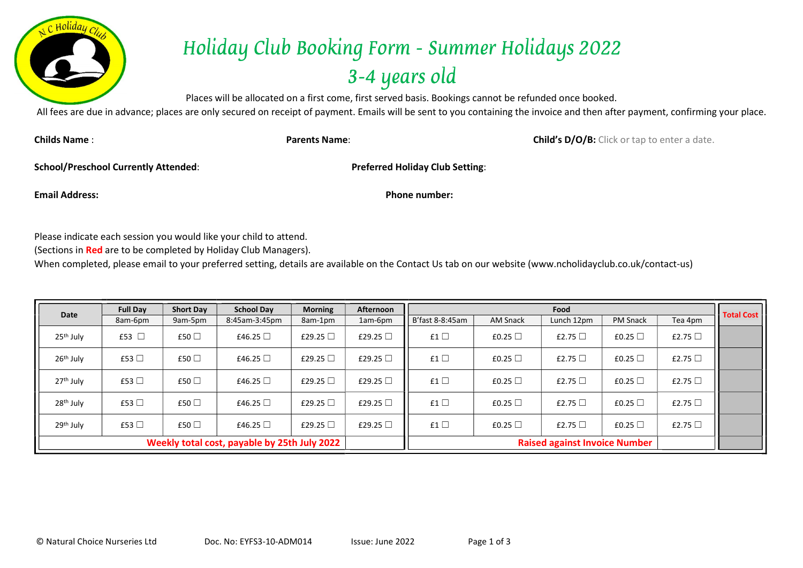

## Holiday Club Booking Form - Summer Holidays 2022 3-4 years old

Places will be allocated on a first come, first served basis. Bookings cannot be refunded once booked.

All fees are due in advance; places are only secured on receipt of payment. Emails will be sent to you containing the invoice and then after payment, confirming your place.

Childs Name : **Child's D/O/B:** Click or tap to enter a date.

School/Preschool Currently Attended: Preferred Holiday Club Setting:

Email Address: Phone number:

Please indicate each session you would like your child to attend.

(Sections in Red are to be completed by Holiday Club Managers).

When completed, please email to your preferred setting, details are available on the Contact Us tab on our website (www.ncholidayclub.co.uk/contact-us)

| Date                                         | <b>Full Day</b> | <b>Short Day</b> | <b>School Day</b> | <b>Morning</b> | Afternoon        |                 |                 | Food                                 |                 |              | <b>Total Cost</b> |  |  |  |  |
|----------------------------------------------|-----------------|------------------|-------------------|----------------|------------------|-----------------|-----------------|--------------------------------------|-----------------|--------------|-------------------|--|--|--|--|
|                                              | 8am-6pm         | 9am-5pm          | 8:45am-3:45pm     | 8am-1pm        | 1am-6pm          | B'fast 8-8:45am | <b>AM Snack</b> | Lunch 12pm                           | <b>PM Snack</b> | Tea 4pm      |                   |  |  |  |  |
| 25 <sup>th</sup> July                        | £53 □           | £50 $\Box$       | £46.25 $\Box$     | £29.25 $\Box$  | £29.25 $\square$ | £1 $\Box$       | £0.25 $\Box$    | £2.75 $\Box$                         | £0.25 $\Box$    | £2.75 $\Box$ |                   |  |  |  |  |
| 26 <sup>th</sup> July                        | £53 $\Box$      | £50 □            | £46.25 $\Box$     | £29.25 $\Box$  | £29.25 $\square$ | £1 $\Box$       | £0.25 $\Box$    | £2.75 $\Box$                         | £0.25 $\Box$    | £2.75 $\Box$ |                   |  |  |  |  |
| 27 <sup>th</sup> July                        | £53 $\Box$      | £50 $\Box$       | £46.25 $\Box$     | £29.25 $\Box$  | £29.25 $\square$ | £1 $\Box$       | £0.25 $\Box$    | £2.75 $\Box$                         | £0.25 $\Box$    | £2.75 $\Box$ |                   |  |  |  |  |
| 28 <sup>th</sup> July                        | £53 $\Box$      | £50 □            | £46.25 $\Box$     | £29.25 $\Box$  | £29.25 $\Box$    | £1 $\Box$       | £0.25 $\Box$    | £2.75 $\Box$                         | £0.25 $\Box$    | £2.75 $\Box$ |                   |  |  |  |  |
| 29 <sup>th</sup> July                        | £53 $\Box$      | £50 □            | £46.25 $\Box$     | £29.25 $\Box$  | £29.25 $\Box$    | £1 $\Box$       | £0.25 $\Box$    | £2.75 $\Box$                         | £0.25 $\Box$    | £2.75 $\Box$ |                   |  |  |  |  |
| Weekly total cost, payable by 25th July 2022 |                 |                  |                   |                |                  |                 |                 | <b>Raised against Invoice Number</b> |                 |              |                   |  |  |  |  |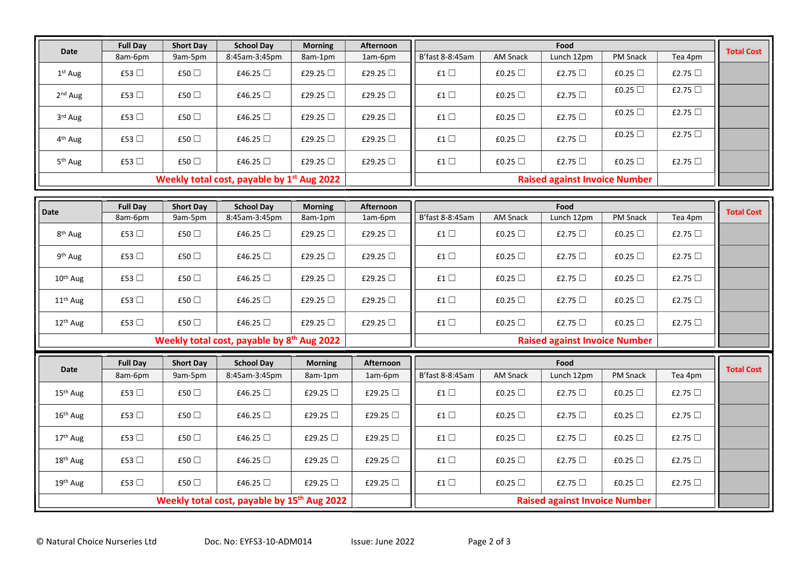| <b>Date</b>                                            | <b>Full Day</b>       | <b>Short Day</b>      | <b>School Day</b>                                      | <b>Morning</b>           | Afternoon                |                                      | <b>AM Snack</b>                 | Food                                 | PM Snack                 |                         | <b>Total Cost</b> |
|--------------------------------------------------------|-----------------------|-----------------------|--------------------------------------------------------|--------------------------|--------------------------|--------------------------------------|---------------------------------|--------------------------------------|--------------------------|-------------------------|-------------------|
|                                                        | 8am-6pm               | 9am-5pm               | 8:45am-3:45pm                                          | 8am-1pm                  | 1am-6pm                  | B'fast 8-8:45am                      |                                 | Lunch 12pm                           |                          | Tea 4pm                 |                   |
| $1st$ Aug                                              | £53 $\Box$            | £50 $\Box$            | £46.25 $\Box$                                          | £29.25 $\Box$            | £29.25 $\Box$            | £1 $\Box$                            | £0.25 $\Box$                    | £2.75 $\Box$                         | £0.25 $\Box$             | £2.75 $\Box$            |                   |
| 2 <sup>nd</sup> Aug                                    | £53 $\Box$            | £50 □                 | £46.25 □                                               | £29.25 □                 | £29.25 □                 | £1 $\square$                         | £0.25 $\Box$                    | £2.75 $\Box$                         | £0.25 □                  | £2.75 □                 |                   |
| 3rd Aug                                                | £53 □                 | £50 □                 | £46.25 $\Box$                                          | £29.25 $\Box$            | £29.25 □                 | £1 $\Box$                            | £0.25 $\Box$                    | £2.75 $\Box$                         | £0.25 $\Box$             | £2.75 $\Box$            |                   |
| 4 <sup>th</sup> Aug                                    | £53 □                 | £50 □                 | £46.25 $\Box$                                          | £29.25 $\Box$            | £29.25 $\Box$            | £1 $\Box$                            | £0.25 $\Box$                    | £2.75 $\Box$                         | £0.25 $\Box$             | £2.75 □                 |                   |
| 5 <sup>th</sup> Aug                                    | £53 $\Box$            | £50 $\Box$            | £46.25 $\Box$                                          | £29.25 $\Box$            | £29.25 $\Box$            | £1 $\square$                         | £0.25 $\Box$                    | £2.75 $\Box$                         | £0.25 $\Box$             | £2.75 $\Box$            |                   |
| Weekly total cost, payable by 1 <sup>st</sup> Aug 2022 |                       |                       |                                                        |                          |                          | <b>Raised against Invoice Number</b> |                                 |                                      |                          |                         |                   |
|                                                        |                       |                       |                                                        |                          |                          |                                      |                                 |                                      |                          |                         |                   |
| Date                                                   | <b>Full Day</b>       | <b>Short Day</b>      | <b>School Day</b>                                      | <b>Morning</b>           | Afternoon                |                                      |                                 | Food                                 |                          |                         | <b>Total Cost</b> |
|                                                        | 8am-6pm               | 9am-5pm               | 8:45am-3:45pm                                          | 8am-1pm                  | 1am-6pm                  | B'fast 8-8:45am                      | <b>AM Snack</b>                 | Lunch 12pm                           | PM Snack                 | Tea 4pm                 |                   |
| 8 <sup>th</sup> Aug                                    | £53 $\Box$            | £50 $\Box$            | £46.25 □                                               | £29.25 □                 | £29.25 $\Box$            | £1 $\Box$                            | £0.25 $\Box$                    | £2.75 $\Box$                         | £0.25 $\Box$             | £2.75 $\Box$            |                   |
|                                                        |                       |                       |                                                        |                          |                          |                                      |                                 |                                      |                          |                         |                   |
| 9 <sup>th</sup> Aug                                    | £53 $\Box$            | £50 □                 | £46.25 $\Box$                                          | £29.25 □                 | £29.25 □                 | £1 $\Box$                            | £0.25 $\Box$                    | £2.75 $\Box$                         | £0.25 $\Box$             | £2.75 $\Box$            |                   |
| 10 <sup>th</sup> Aug                                   | £53 $\Box$            | £50 $\Box$            | £46.25 $\Box$                                          | £29.25 $\Box$            | £29.25 $\Box$            | £1 $\Box$                            | £0.25 $\Box$                    | £2.75 $\Box$                         | £0.25 $\Box$             | £2.75 $\Box$            |                   |
| 11 <sup>th</sup> Aug                                   | £53 □                 | £50 □                 | £46.25 □                                               | £29.25 □                 | £29.25 □                 | £1 $\square$                         | £0.25 $\Box$                    | £2.75 $\Box$                         | £0.25 $\Box$             | £2.75 $\Box$            |                   |
| 12 <sup>th</sup> Aug                                   | £53 $\Box$            | £50 $\Box$            | £46.25 $\Box$                                          | £29.25 $\Box$            | £29.25 $\Box$            | £1 $\Box$                            | £0.25 $\Box$                    | £2.75 $\Box$                         | £0.25 $\Box$             | £2.75 $\Box$            |                   |
|                                                        |                       |                       | Weekly total cost, payable by 8 <sup>th</sup> Aug 2022 |                          |                          |                                      |                                 | <b>Raised against Invoice Number</b> |                          |                         |                   |
|                                                        |                       |                       |                                                        |                          |                          |                                      |                                 |                                      |                          |                         |                   |
| <b>Date</b>                                            | <b>Full Day</b>       | <b>Short Day</b>      | <b>School Day</b>                                      | <b>Morning</b>           | <b>Afternoon</b>         |                                      |                                 | Food                                 |                          |                         | <b>Total Cost</b> |
| 15 <sup>th</sup> Aug                                   | 8am-6pm<br>£53 $\Box$ | 9am-5pm<br>£50 $\Box$ | 8:45am-3:45pm<br>£46.25 $\Box$                         | 8am-1pm<br>£29.25 $\Box$ | 1am-6pm<br>£29.25 $\Box$ | B'fast 8-8:45am<br>£1 $\Box$         | <b>AM Snack</b><br>£0.25 $\Box$ | Lunch 12pm<br>£2.75 $\Box$           | PM Snack<br>£0.25 $\Box$ | Tea 4pm<br>£2.75 $\Box$ |                   |

Weekly total cost, payable by 15<sup>th</sup> Aug 2022

16th Aug £53 ☐ £50 ☐ £46.25 ☐ £29.25 ☐ £29.25 ☐ £1 ☐ £0.25 ☐ £2.75 ☐ £0.25 ☐ £2.75 ☐

17<sup>th</sup> Aug │ £53 □ │ £50 □ │ £46.25 □ │ £29.25 □ │ £29.25 □ │ £1 □ │ £0.25 □ │ £2.75 □ │ £2.75 □ │ £2.75 □

18th Aug £53 ☐ £50 ☐ £46.25 ☐ £29.25 ☐ £29.25 ☐ £1 ☐ £0.25 ☐ £2.75 ☐ £0.25 ☐ £2.75 ☐

19<sup>th</sup> Aug │ £53 □ │ £50 □ │ £46.25 □ │ £29.25 □ │ £29.25 □ │ £1 □ │ £0.25 □ │ £2.75 □ │ £2.75 □ │ £2.75 □

Raised against Invoice Number